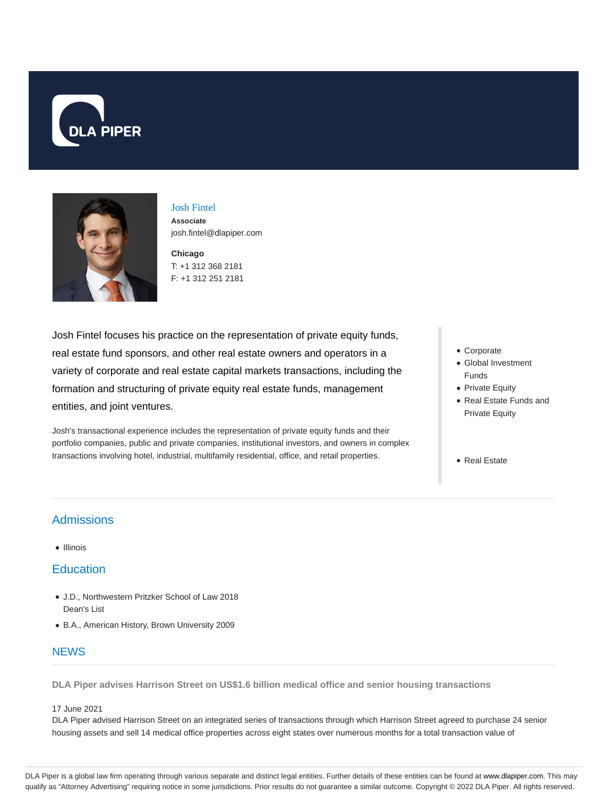



## Josh Fintel **Associate** josh.fintel@dlapiper.com

**Chicago** T: +1 312 368 2181 F: +1 312 251 2181

Josh Fintel focuses his practice on the representation of private equity funds, real estate fund sponsors, and other real estate owners and operators in a variety of corporate and real estate capital markets transactions, including the formation and structuring of private equity real estate funds, management entities, and joint ventures.

Josh's transactional experience includes the representation of private equity funds and their portfolio companies, public and private companies, institutional investors, and owners in complex transactions involving hotel, industrial, multifamily residential, office, and retail properties.

- Corporate
- Global Investment Funds
- Private Equity
- Real Estate Funds and Private Equity
- Real Estate

# Admissions

#### • Illinois

## **Education**

- J.D., Northwestern Pritzker School of Law 2018 Dean's List
- B.A., American History, Brown University 2009

## **NEWS**

**DLA Piper advises Harrison Street on US\$1.6 billion medical office and senior housing transactions**

#### 17 June 2021

DLA Piper advised Harrison Street on an integrated series of transactions through which Harrison Street agreed to purchase 24 senior housing assets and sell 14 medical office properties across eight states over numerous months for a total transaction value of

DLA Piper is a global law firm operating through various separate and distinct legal entities. Further details of these entities can be found at www.dlapiper.com. This may qualify as "Attorney Advertising" requiring notice in some jurisdictions. Prior results do not guarantee a similar outcome. Copyright @ 2022 DLA Piper. All rights reserved.